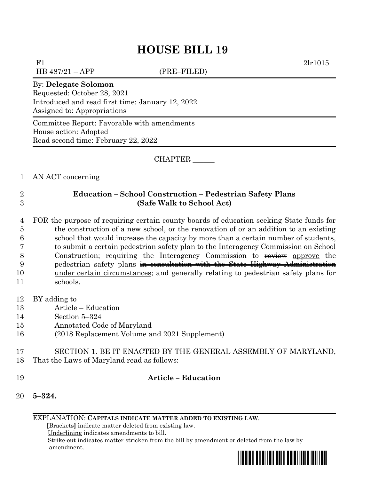# **HOUSE BILL 19**

F1 2lr1015

 $HB 487/21 - APP$  (PRE–FILED)

#### By: **Delegate Solomon**

Requested: October 28, 2021 Introduced and read first time: January 12, 2022 Assigned to: Appropriations

Committee Report: Favorable with amendments House action: Adopted Read second time: February 22, 2022

CHAPTER \_\_\_\_\_\_

#### 1 AN ACT concerning

## 2 **Education – School Construction – Pedestrian Safety Plans**  3 **(Safe Walk to School Act)**

 FOR the purpose of requiring certain county boards of education seeking State funds for the construction of a new school, or the renovation of or an addition to an existing school that would increase the capacity by more than a certain number of students, to submit a certain pedestrian safety plan to the Interagency Commission on School 8 Construction; requiring the Interagency Commission to review approve the pedestrian safety plans in consultation with the State Highway Administration under certain circumstances; and generally relating to pedestrian safety plans for 11 schools.

12 BY adding to

- 13 Article Education
- 14 Section 5–324
- 15 Annotated Code of Maryland
- 16 (2018 Replacement Volume and 2021 Supplement)
- 17 SECTION 1. BE IT ENACTED BY THE GENERAL ASSEMBLY OF MARYLAND, 18 That the Laws of Maryland read as follows:
- 

### 19 **Article – Education**

20 **5–324.**

EXPLANATION: **CAPITALS INDICATE MATTER ADDED TO EXISTING LAW**.

 **[**Brackets**]** indicate matter deleted from existing law.

Underlining indicates amendments to bill.

 Strike out indicates matter stricken from the bill by amendment or deleted from the law by amendment.

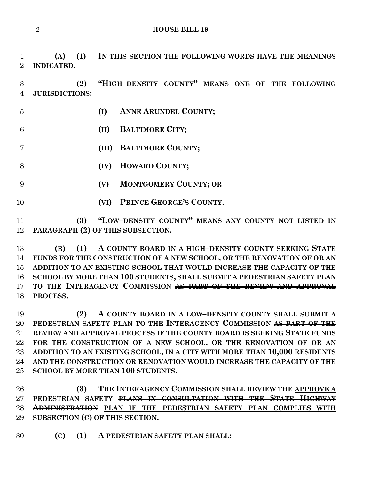**HOUSE BILL 19**

 **(A) (1) IN THIS SECTION THE FOLLOWING WORDS HAVE THE MEANINGS INDICATED.**

 **(2) "HIGH–DENSITY COUNTY" MEANS ONE OF THE FOLLOWING JURISDICTIONS:**

 **(I) ANNE ARUNDEL COUNTY; (II) BALTIMORE CITY; (III) BALTIMORE COUNTY; (IV) HOWARD COUNTY; (V) MONTGOMERY COUNTY; OR (VI) PRINCE GEORGE'S COUNTY.**

 **(3) "LOW–DENSITY COUNTY" MEANS ANY COUNTY NOT LISTED IN PARAGRAPH (2) OF THIS SUBSECTION.**

 **(B) (1) A COUNTY BOARD IN A HIGH–DENSITY COUNTY SEEKING STATE FUNDS FOR THE CONSTRUCTION OF A NEW SCHOOL, OR THE RENOVATION OF OR AN ADDITION TO AN EXISTING SCHOOL THAT WOULD INCREASE THE CAPACITY OF THE SCHOOL BY MORE THAN 100 STUDENTS, SHALL SUBMIT A PEDESTRIAN SAFETY PLAN TO THE INTERAGENCY COMMISSION AS PART OF THE REVIEW AND APPROVAL PROCESS.**

 **(2) A COUNTY BOARD IN A LOW–DENSITY COUNTY SHALL SUBMIT A PEDESTRIAN SAFETY PLAN TO THE INTERAGENCY COMMISSION AS PART OF THE REVIEW AND APPROVAL PROCESS IF THE COUNTY BOARD IS SEEKING STATE FUNDS FOR THE CONSTRUCTION OF A NEW SCHOOL, OR THE RENOVATION OF OR AN ADDITION TO AN EXISTING SCHOOL, IN A CITY WITH MORE THAN 10,000 RESIDENTS AND THE CONSTRUCTION OR RENOVATION WOULD INCREASE THE CAPACITY OF THE SCHOOL BY MORE THAN 100 STUDENTS.**

 **(3) THE INTERAGENCY COMMISSION SHALL REVIEW THE APPROVE A PEDESTRIAN SAFETY PLANS IN CONSULTATION WITH THE STATE HIGHWAY ADMINISTRATION PLAN IF THE PEDESTRIAN SAFETY PLAN COMPLIES WITH SUBSECTION (C) OF THIS SECTION.**

**(C) (1) A PEDESTRIAN SAFETY PLAN SHALL:**